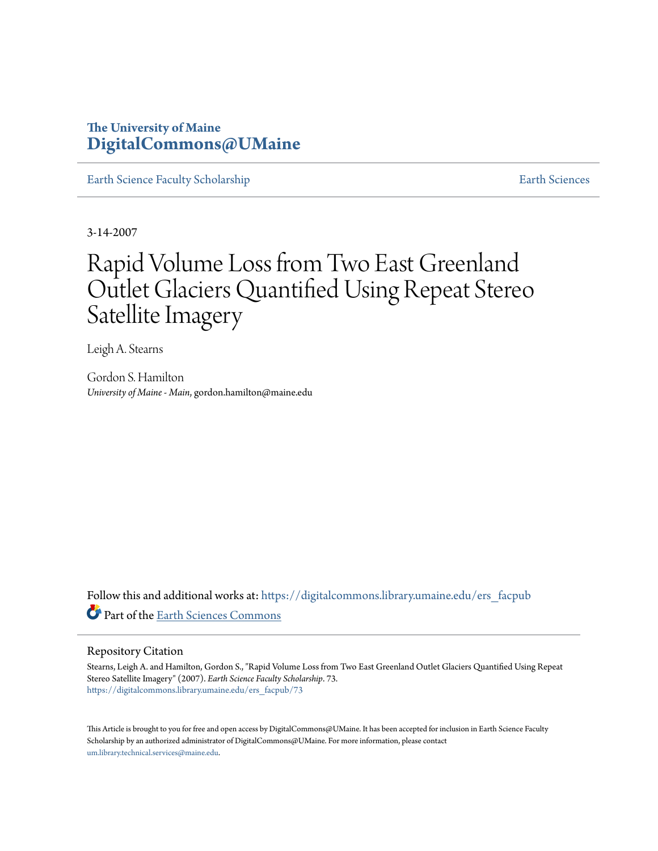## **The University of Maine [DigitalCommons@UMaine](https://digitalcommons.library.umaine.edu?utm_source=digitalcommons.library.umaine.edu%2Fers_facpub%2F73&utm_medium=PDF&utm_campaign=PDFCoverPages)**

[Earth Science Faculty Scholarship](https://digitalcommons.library.umaine.edu/ers_facpub?utm_source=digitalcommons.library.umaine.edu%2Fers_facpub%2F73&utm_medium=PDF&utm_campaign=PDFCoverPages) **[Earth Sciences](https://digitalcommons.library.umaine.edu/ers?utm_source=digitalcommons.library.umaine.edu%2Fers_facpub%2F73&utm_medium=PDF&utm_campaign=PDFCoverPages)** 

3-14-2007

# Rapid Volume Loss from Two East Greenland Outlet Glaciers Quantified Using Repeat Stereo Satellite Imagery

Leigh A. Stearns

Gordon S. Hamilton *University of Maine - Main*, gordon.hamilton@maine.edu

Follow this and additional works at: [https://digitalcommons.library.umaine.edu/ers\\_facpub](https://digitalcommons.library.umaine.edu/ers_facpub?utm_source=digitalcommons.library.umaine.edu%2Fers_facpub%2F73&utm_medium=PDF&utm_campaign=PDFCoverPages) Part of the [Earth Sciences Commons](http://network.bepress.com/hgg/discipline/153?utm_source=digitalcommons.library.umaine.edu%2Fers_facpub%2F73&utm_medium=PDF&utm_campaign=PDFCoverPages)

## Repository Citation

Stearns, Leigh A. and Hamilton, Gordon S., "Rapid Volume Loss from Two East Greenland Outlet Glaciers Quantified Using Repeat Stereo Satellite Imagery" (2007). *Earth Science Faculty Scholarship*. 73. [https://digitalcommons.library.umaine.edu/ers\\_facpub/73](https://digitalcommons.library.umaine.edu/ers_facpub/73?utm_source=digitalcommons.library.umaine.edu%2Fers_facpub%2F73&utm_medium=PDF&utm_campaign=PDFCoverPages)

This Article is brought to you for free and open access by DigitalCommons@UMaine. It has been accepted for inclusion in Earth Science Faculty Scholarship by an authorized administrator of DigitalCommons@UMaine. For more information, please contact [um.library.technical.services@maine.edu](mailto:um.library.technical.services@maine.edu).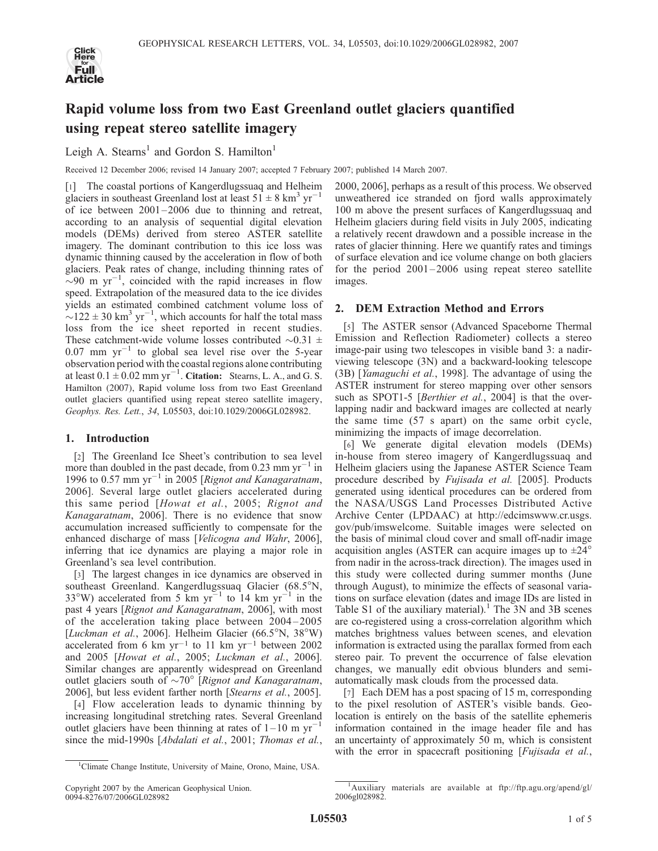

# Rapid volume loss from two East Greenland outlet glaciers quantified using repeat stereo satellite imagery

Leigh A. Stearns<sup>1</sup> and Gordon S. Hamilton<sup>1</sup>

Received 12 December 2006; revised 14 January 2007; accepted 7 February 2007; published 14 March 2007.

[1] The coastal portions of Kangerdlugssuaq and Helheim glaciers in southeast Greenland lost at least  $51 \pm 8$  km<sup>3</sup> yr<sup>-1</sup> of ice between  $2001 - 2006$  due to thinning and retreat, according to an analysis of sequential digital elevation models (DEMs) derived from stereo ASTER satellite imagery. The dominant contribution to this ice loss was dynamic thinning caused by the acceleration in flow of both glaciers. Peak rates of change, including thinning rates of  $\sim$ 90 m yr<sup>-1</sup>, coincided with the rapid increases in flow speed. Extrapolation of the measured data to the ice divides yields an estimated combined catchment volume loss of  $\sim$ 122 ± 30 km<sup>3</sup> yr<sup>-1</sup>, which accounts for half the total mass loss from the ice sheet reported in recent studies. These catchment-wide volume losses contributed  $\sim 0.31 \pm 0.00$  $0.07$  mm  $yr^{-1}$  to global sea level rise over the 5-year observation period with the coastal regions alone contributing at least  $0.1 \pm 0.02$  mm yr<sup>-1</sup>. Citation: Stearns, L. A., and G. S. Hamilton (2007), Rapid volume loss from two East Greenland outlet glaciers quantified using repeat stereo satellite imagery, Geophys. Res. Lett., 34, L05503, doi:10.1029/2006GL028982.

### 1. Introduction

[2] The Greenland Ice Sheet's contribution to sea level more than doubled in the past decade, from 0.23 mm  $yr^{-1}$  in 1996 to 0.57 mm  $yr^{-1}$  in 2005 [Rignot and Kanagaratnam, 2006]. Several large outlet glaciers accelerated during this same period [Howat et al., 2005; Rignot and Kanagaratnam, 2006]. There is no evidence that snow accumulation increased sufficiently to compensate for the enhanced discharge of mass [Velicogna and Wahr, 2006], inferring that ice dynamics are playing a major role in Greenland's sea level contribution.

[3] The largest changes in ice dynamics are observed in southeast Greenland. Kangerdlugssuaq Glacier (68.5°N, 33°W) accelerated from 5 km  $yr^{-1}$  to 14 km  $yr^{-1}$  in the past 4 years [Rignot and Kanagaratnam, 2006], with most of the acceleration taking place between 2004– 2005 [Luckman et al., 2006]. Helheim Glacier (66.5°N, 38°W) accelerated from 6 km yr<sup>-1</sup> to 11 km yr<sup>-1</sup> between 2002 and 2005 [Howat et al., 2005; Luckman et al., 2006]. Similar changes are apparently widespread on Greenland outlet glaciers south of  $\sim 70^{\circ}$  [Rignot and Kanagaratnam, 2006], but less evident farther north [Stearns et al., 2005].

[4] Flow acceleration leads to dynamic thinning by increasing longitudinal stretching rates. Several Greenland outlet glaciers have been thinning at rates of  $1-10$  m yr<sup>-1</sup> since the mid-1990s [Abdalati et al., 2001; Thomas et al.,

Copyright 2007 by the American Geophysical Union. 0094-8276/07/2006GL028982

2000, 2006], perhaps as a result of this process. We observed unweathered ice stranded on fjord walls approximately 100 m above the present surfaces of Kangerdlugssuaq and Helheim glaciers during field visits in July 2005, indicating a relatively recent drawdown and a possible increase in the rates of glacier thinning. Here we quantify rates and timings of surface elevation and ice volume change on both glaciers for the period  $2001 - 2006$  using repeat stereo satellite images.

### 2. DEM Extraction Method and Errors

[5] The ASTER sensor (Advanced Spaceborne Thermal Emission and Reflection Radiometer) collects a stereo image-pair using two telescopes in visible band 3: a nadirviewing telescope (3N) and a backward-looking telescope (3B) [Yamaguchi et al., 1998]. The advantage of using the ASTER instrument for stereo mapping over other sensors such as SPOT1-5 [Berthier et al., 2004] is that the overlapping nadir and backward images are collected at nearly the same time (57 s apart) on the same orbit cycle, minimizing the impacts of image decorrelation.

[6] We generate digital elevation models (DEMs) in-house from stereo imagery of Kangerdlugssuaq and Helheim glaciers using the Japanese ASTER Science Team procedure described by Fujisada et al. [2005]. Products generated using identical procedures can be ordered from the NASA/USGS Land Processes Distributed Active Archive Center (LPDAAC) at http://edcimswww.cr.usgs. gov/pub/imswelcome. Suitable images were selected on the basis of minimal cloud cover and small off-nadir image acquisition angles (ASTER can acquire images up to  $\pm 24^{\circ}$ from nadir in the across-track direction). The images used in this study were collected during summer months (June through August), to minimize the effects of seasonal variations on surface elevation (dates and image IDs are listed in Table S1 of the auxiliary material).<sup>1</sup> The  $3N$  and  $3B$  scenes are co-registered using a cross-correlation algorithm which matches brightness values between scenes, and elevation information is extracted using the parallax formed from each stereo pair. To prevent the occurrence of false elevation changes, we manually edit obvious blunders and semiautomatically mask clouds from the processed data.

[7] Each DEM has a post spacing of 15 m, corresponding to the pixel resolution of ASTER's visible bands. Geolocation is entirely on the basis of the satellite ephemeris information contained in the image header file and has an uncertainty of approximately 50 m, which is consistent with the error in spacecraft positioning [*Fujisada et al.*,

<sup>&</sup>lt;sup>1</sup>Climate Change Institute, University of Maine, Orono, Maine, USA.

<sup>&</sup>lt;sup>1</sup>Auxiliary materials are available at ftp://ftp.agu.org/apend/gl/ 2006gl028982.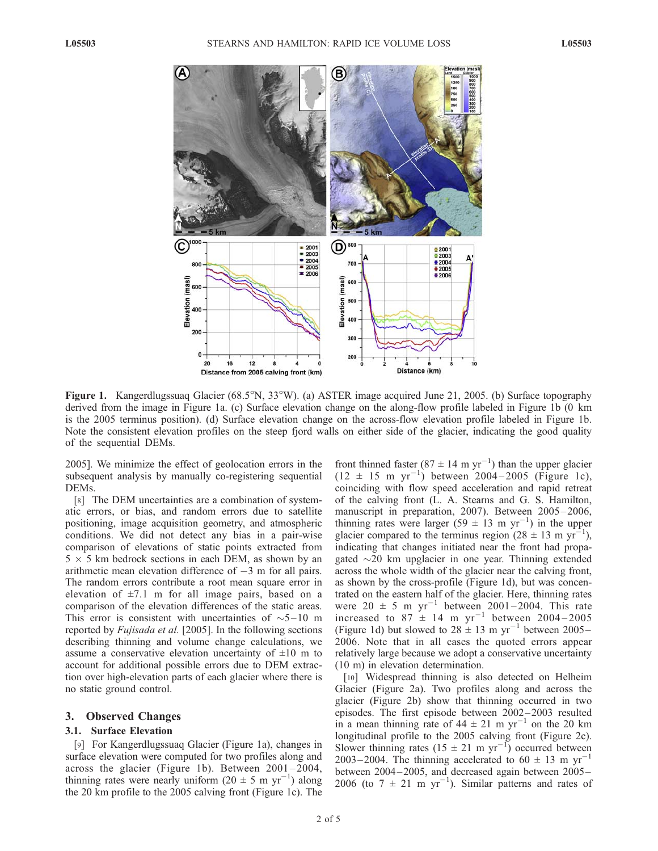

Figure 1. Kangerdlugssuaq Glacier (68.5°N, 33°W). (a) ASTER image acquired June 21, 2005. (b) Surface topography derived from the image in Figure 1a. (c) Surface elevation change on the along-flow profile labeled in Figure 1b (0 km is the 2005 terminus position). (d) Surface elevation change on the across-flow elevation profile labeled in Figure 1b. Note the consistent elevation profiles on the steep fjord walls on either side of the glacier, indicating the good quality of the sequential DEMs.

2005]. We minimize the effect of geolocation errors in the subsequent analysis by manually co-registering sequential DEMs.

[8] The DEM uncertainties are a combination of systematic errors, or bias, and random errors due to satellite positioning, image acquisition geometry, and atmospheric conditions. We did not detect any bias in a pair-wise comparison of elevations of static points extracted from  $5 \times 5$  km bedrock sections in each DEM, as shown by an arithmetic mean elevation difference of  $-3$  m for all pairs. The random errors contribute a root mean square error in elevation of  $\pm 7.1$  m for all image pairs, based on a comparison of the elevation differences of the static areas. This error is consistent with uncertainties of  $\sim 5-10$  m reported by *Fujisada et al.* [2005]. In the following sections describing thinning and volume change calculations, we assume a conservative elevation uncertainty of  $\pm 10$  m to account for additional possible errors due to DEM extraction over high-elevation parts of each glacier where there is no static ground control.

#### 3. Observed Changes

#### 3.1. Surface Elevation

[9] For Kangerdlugssuaq Glacier (Figure 1a), changes in surface elevation were computed for two profiles along and across the glacier (Figure 1b). Between  $2001 - 2004$ , thinning rates were nearly uniform  $(20 \pm 5 \text{ m yr}^{-1})$  along the 20 km profile to the 2005 calving front (Figure 1c). The

front thinned faster (87  $\pm$  14 m yr<sup>-1</sup>) than the upper glacier  $(12 \pm 15 \text{ m yr}^{-1})$  between 2004–2005 (Figure 1c), coinciding with flow speed acceleration and rapid retreat of the calving front (L. A. Stearns and G. S. Hamilton, manuscript in preparation, 2007). Between 2005-2006, thinning rates were larger  $(59 \pm 13 \text{ m yr}^{-1})$  in the upper glacier compared to the terminus region  $(28 \pm 13 \text{ m yr}^{-1})$ , indicating that changes initiated near the front had propagated  $\sim$ 20 km upglacier in one year. Thinning extended across the whole width of the glacier near the calving front, as shown by the cross-profile (Figure 1d), but was concentrated on the eastern half of the glacier. Here, thinning rates were  $20 \pm 5$  m yr<sup>-1</sup> between 2001-2004. This rate increased to 87  $\pm$  14 m yr<sup>-1</sup> between 2004 – 2005 (Figure 1d) but slowed to  $28 \pm 13$  m yr<sup>-1</sup> between 2005– 2006. Note that in all cases the quoted errors appear relatively large because we adopt a conservative uncertainty (10 m) in elevation determination.

[10] Widespread thinning is also detected on Helheim Glacier (Figure 2a). Two profiles along and across the glacier (Figure 2b) show that thinning occurred in two episodes. The first episode between 2002 –2003 resulted in a mean thinning rate of  $44 \pm 21$  m yr<sup>-1</sup> on the 20 km longitudinal profile to the 2005 calving front (Figure 2c). Slower thinning rates  $(15 \pm 21 \text{ m yr}^{-1})$  occurred between 2003–2004. The thinning accelerated to  $60 \pm 13$  m yr<sup>-1</sup> between 2004–2005, and decreased again between 2005– 2006 (to  $7 \pm 21$  m yr<sup>-1</sup>). Similar patterns and rates of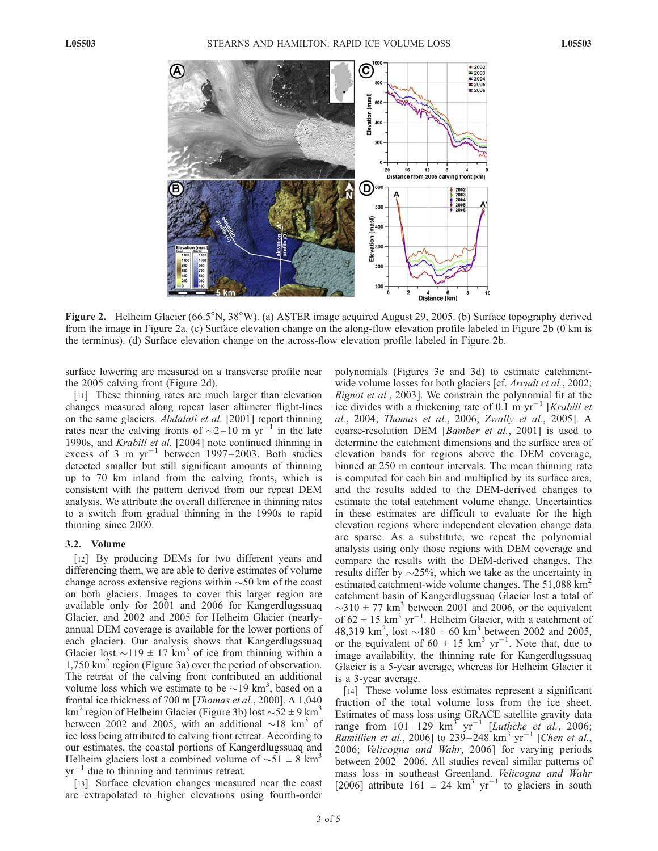

Figure 2. Helheim Glacier (66.5<sup>o</sup>N, 38<sup>o</sup>W). (a) ASTER image acquired August 29, 2005. (b) Surface topography derived from the image in Figure 2a. (c) Surface elevation change on the along-flow elevation profile labeled in Figure 2b (0 km is the terminus). (d) Surface elevation change on the across-flow elevation profile labeled in Figure 2b.

surface lowering are measured on a transverse profile near the 2005 calving front (Figure 2d).

[11] These thinning rates are much larger than elevation changes measured along repeat laser altimeter flight-lines on the same glaciers. *Abdalati et al.* [2001] report thinning rates near the calving fronts of  $\sim$ 2-10 m yr<sup>-1</sup> in the late 1990s, and Krabill et al. [2004] note continued thinning in excess of 3 m  $yr^{-1}$  between 1997-2003. Both studies detected smaller but still significant amounts of thinning up to 70 km inland from the calving fronts, which is consistent with the pattern derived from our repeat DEM analysis. We attribute the overall difference in thinning rates to a switch from gradual thinning in the 1990s to rapid thinning since 2000.

#### 3.2. Volume

[12] By producing DEMs for two different years and differencing them, we are able to derive estimates of volume change across extensive regions within  $\sim$  50 km of the coast on both glaciers. Images to cover this larger region are available only for 2001 and 2006 for Kangerdlugssuaq Glacier, and 2002 and 2005 for Helheim Glacier (nearlyannual DEM coverage is available for the lower portions of each glacier). Our analysis shows that Kangerdlugssuaq Glacier lost  $\sim$ 119  $\pm$  17 km<sup>3</sup> of ice from thinning within a 1,750 km2 region (Figure 3a) over the period of observation. The retreat of the calving front contributed an additional volume loss which we estimate to be  $\sim$  19 km<sup>3</sup>, based on a frontal ice thickness of 700 m [Thomas et al., 2000]. A 1,040 km<sup>2</sup> region of Helheim Glacier (Figure 3b) lost  $\sim 52 \pm 9$  km<sup>3</sup> between 2002 and 2005, with an additional  $\sim$ 18 km<sup>3</sup> of ice loss being attributed to calving front retreat. According to our estimates, the coastal portions of Kangerdlugssuaq and Helheim glaciers lost a combined volume of  $\sim 51 \pm 8$  km<sup>3</sup>  $yr^{-1}$  due to thinning and terminus retreat.

[13] Surface elevation changes measured near the coast are extrapolated to higher elevations using fourth-order polynomials (Figures 3c and 3d) to estimate catchmentwide volume losses for both glaciers [cf. Arendt et al., 2002; Rignot et al., 2003]. We constrain the polynomial fit at the ice divides with a thickening rate of 0.1 m  $yr^{-1}$  [Krabill et al., 2004; Thomas et al., 2006; Zwally et al., 2005]. A coarse-resolution DEM [Bamber et al., 2001] is used to determine the catchment dimensions and the surface area of elevation bands for regions above the DEM coverage, binned at 250 m contour intervals. The mean thinning rate is computed for each bin and multiplied by its surface area, and the results added to the DEM-derived changes to estimate the total catchment volume change. Uncertainties in these estimates are difficult to evaluate for the high elevation regions where independent elevation change data are sparse. As a substitute, we repeat the polynomial analysis using only those regions with DEM coverage and compare the results with the DEM-derived changes. The results differ by  $\sim$ 25%, which we take as the uncertainty in estimated catchment-wide volume changes. The 51,088 km<sup>2</sup> catchment basin of Kangerdlugssuaq Glacier lost a total of  $\sim$ 310  $\pm$  77 km<sup>3</sup> between 2001 and 2006, or the equivalent of  $62 \pm 15$  km<sup>3</sup> yr<sup>-1</sup>. Helheim Glacier, with a catchment of 48,319 km<sup>2</sup>, lost  $\sim$ 180  $\pm$  60 km<sup>3</sup> between 2002 and 2005, or the equivalent of  $60 \pm 15$  km<sup>3</sup> yr<sup>-1</sup>. Note that, due to image availability, the thinning rate for Kangerdlugssuaq Glacier is a 5-year average, whereas for Helheim Glacier it is a 3-year average.

[14] These volume loss estimates represent a significant fraction of the total volume loss from the ice sheet. Estimates of mass loss using GRACE satellite gravity data range from  $101-129$  km<sup>3</sup> yr<sup>-1</sup> [Luthcke et al., 2006; *Ramillien et al.*, 2006] to 239–248  $km^3$  yr<sup>-1</sup> [*Chen et al.*, 2006; Velicogna and Wahr, 2006] for varying periods between 2002– 2006. All studies reveal similar patterns of mass loss in southeast Greenland. Velicogna and Wahr [2006] attribute 161  $\pm$  24 km<sup>3</sup> yr<sup>-1</sup> to glaciers in south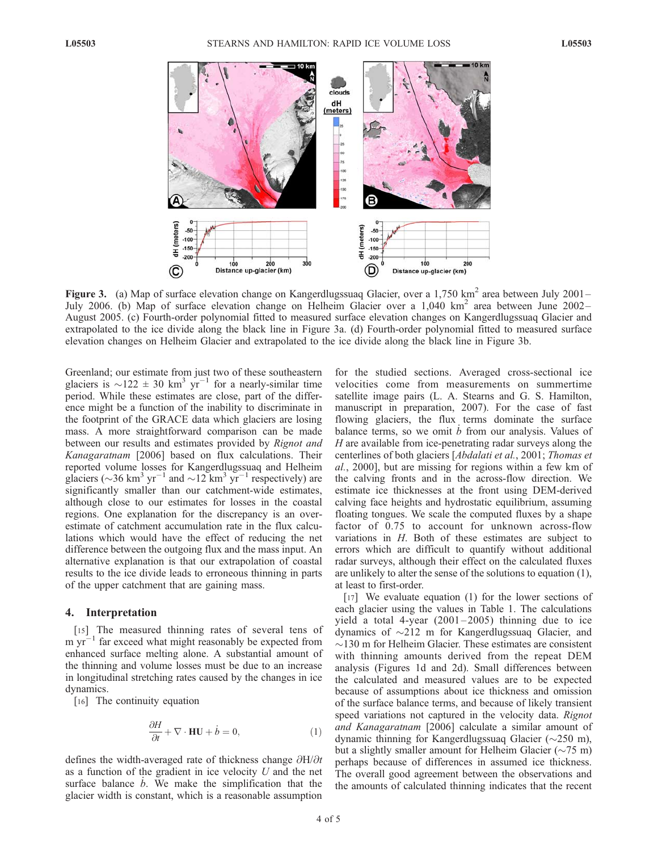

Figure 3. (a) Map of surface elevation change on Kangerdlugssuaq Glacier, over a 1,750 km<sup>2</sup> area between July 2001– July 2006. (b) Map of surface elevation change on Helheim Glacier over a 1,040 km<sup>2</sup> area between June 2002– August 2005. (c) Fourth-order polynomial fitted to measured surface elevation changes on Kangerdlugssuaq Glacier and extrapolated to the ice divide along the black line in Figure 3a. (d) Fourth-order polynomial fitted to measured surface elevation changes on Helheim Glacier and extrapolated to the ice divide along the black line in Figure 3b.

Greenland; our estimate from just two of these southeastern glaciers is  $\sim$ 122  $\pm$  30 km<sup>3</sup> yr<sup>-1</sup> for a nearly-similar time period. While these estimates are close, part of the difference might be a function of the inability to discriminate in the footprint of the GRACE data which glaciers are losing mass. A more straightforward comparison can be made between our results and estimates provided by Rignot and Kanagaratnam [2006] based on flux calculations. Their reported volume losses for Kangerdlugssuaq and Helheim glaciers ( $\sim$ 36 km<sup>3</sup> yr<sup>-1</sup> and  $\sim$ 12 km<sup>3</sup> yr<sup>-1</sup> respectively) are significantly smaller than our catchment-wide estimates, although close to our estimates for losses in the coastal regions. One explanation for the discrepancy is an overestimate of catchment accumulation rate in the flux calculations which would have the effect of reducing the net difference between the outgoing flux and the mass input. An alternative explanation is that our extrapolation of coastal results to the ice divide leads to erroneous thinning in parts of the upper catchment that are gaining mass.

#### 4. Interpretation

[15] The measured thinning rates of several tens of m  $yr^{-1}$  far exceed what might reasonably be expected from enhanced surface melting alone. A substantial amount of the thinning and volume losses must be due to an increase in longitudinal stretching rates caused by the changes in ice dynamics.

[16] The continuity equation

$$
\frac{\partial H}{\partial t} + \nabla \cdot \mathbf{HU} + \dot{b} = 0, \tag{1}
$$

defines the width-averaged rate of thickness change  $\partial H/\partial t$ as a function of the gradient in ice velocity  $U$  and the net surface balance  $\dot{b}$ . We make the simplification that the glacier width is constant, which is a reasonable assumption

for the studied sections. Averaged cross-sectional ice velocities come from measurements on summertime satellite image pairs (L. A. Stearns and G. S. Hamilton, manuscript in preparation, 2007). For the case of fast flowing glaciers, the flux terms dominate the surface balance terms, so we omit  $\dot{b}$  from our analysis. Values of  $H$  are available from ice-penetrating radar surveys along the centerlines of both glaciers [Abdalati et al., 2001; Thomas et al., 2000], but are missing for regions within a few km of the calving fronts and in the across-flow direction. We estimate ice thicknesses at the front using DEM-derived calving face heights and hydrostatic equilibrium, assuming floating tongues. We scale the computed fluxes by a shape factor of 0.75 to account for unknown across-flow variations in H. Both of these estimates are subject to errors which are difficult to quantify without additional radar surveys, although their effect on the calculated fluxes are unlikely to alter the sense of the solutions to equation (1), at least to first-order.

[17] We evaluate equation (1) for the lower sections of each glacier using the values in Table 1. The calculations yield a total 4-year  $(2001-2005)$  thinning due to ice dynamics of -212 m for Kangerdlugssuaq Glacier, and  $\sim$ 130 m for Helheim Glacier. These estimates are consistent with thinning amounts derived from the repeat DEM analysis (Figures 1d and 2d). Small differences between the calculated and measured values are to be expected because of assumptions about ice thickness and omission of the surface balance terms, and because of likely transient speed variations not captured in the velocity data. Rignot and Kanagaratnam [2006] calculate a similar amount of dynamic thinning for Kangerdlugssuaq Glacier ( $\sim$ 250 m), but a slightly smaller amount for Helheim Glacier  $(\sim 75 \text{ m})$ perhaps because of differences in assumed ice thickness. The overall good agreement between the observations and the amounts of calculated thinning indicates that the recent